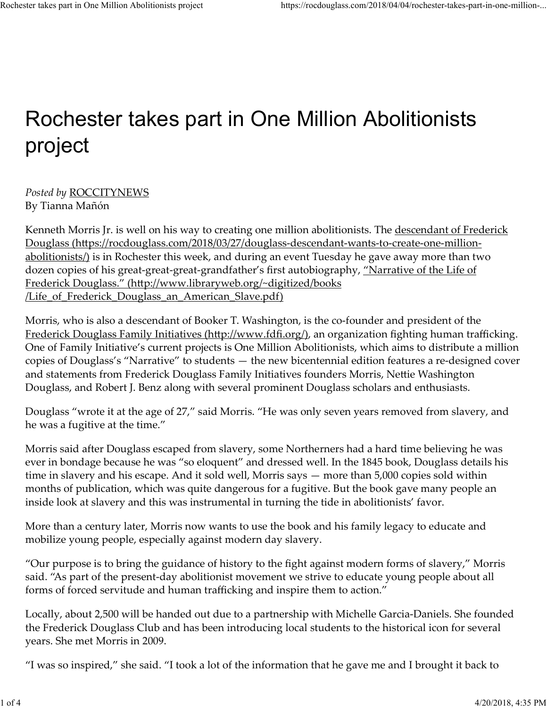## Rochester takes part in One Million Abolitionists project

Posted by ROCCITYNEWS By Tianna Mañón

Kenneth Morris Jr. is well on his way to creating one million abolitionists. The descendant of Frederick Douglass (https://rocdouglass.com/2018/03/27/douglass-descendant-wants-to-create-one-millionabolitionists/) is in Rochester this week, and during an event Tuesday he gave away more than two dozen copies of his great-great-great-grandfather's first autobiography, "Narrative of the Life of Frederick Douglass." (http://www.libraryweb.org/~digitized/books /Life\_of\_Frederick\_Douglass\_an\_American\_Slave.pdf)

Morris, who is also a descendant of Booker T. Washington, is the co-founder and president of the <u>Frederick Douglass Family Initiatives (http://www.fdfi.org/)</u>, an organization fighting human trafficking. One of Family Initiative's current projects is One Million Abolitionists, which aims to distribute a million copies of Douglass's "Narrative" to students — the new bicentennial edition features a re-designed cover and statements from Frederick Douglass Family Initiatives founders Morris, Nettie Washington Douglass, and Robert J. Benz along with several prominent Douglass scholars and enthusiasts.

Douglass "wrote it at the age of 27," said Morris. "He was only seven years removed from slavery, and he was a fugitive at the time."

Morris said after Douglass escaped from slavery, some Northerners had a hard time believing he was ever in bondage because he was "so eloquent" and dressed well. In the 1845 book, Douglass details his time in slavery and his escape. And it sold well, Morris says — more than 5,000 copies sold within months of publication, which was quite dangerous for a fugitive. But the book gave many people an inside look at slavery and this was instrumental in turning the tide in abolitionists' favor.

More than a century later, Morris now wants to use the book and his family legacy to educate and mobilize young people, especially against modern day slavery.

"Our purpose is to bring the guidance of history to the fight against modern forms of slavery," Morris said. "As part of the present-day abolitionist movement we strive to educate young people about all forms of forced servitude and human trafficking and inspire them to action."

Locally, about 2,500 will be handed out due to a partnership with Michelle Garcia-Daniels. She founded the Frederick Douglass Club and has been introducing local students to the historical icon for several years. She met Morris in 2009. time in slavery and his escape. And it sold well, Morris says — more than 5,000 copies sold within months of publication, which was quite dangerous for a fugitive. But the book gave many people an inside look at slavery an

"I was so inspired," she said. "I took a lot of the information that he gave me and I brought it back to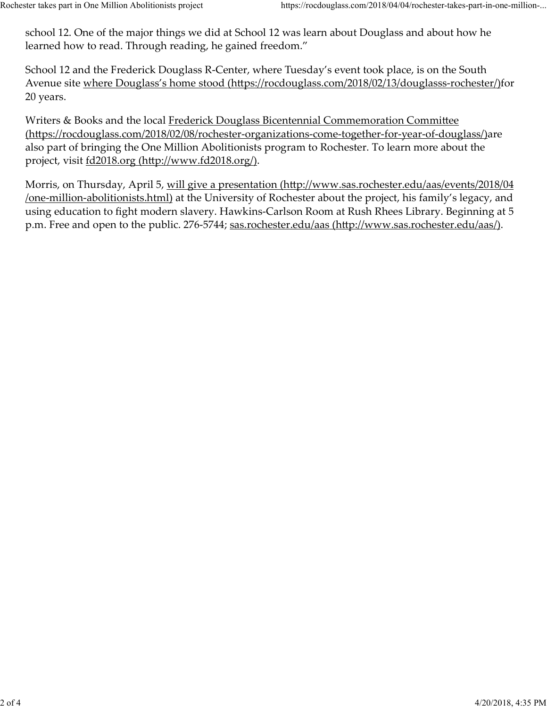school 12. One of the major things we did at School 12 was learn about Douglass and about how he learned how to read. Through reading, he gained freedom." Rochester takes part in One Million Abolitionists project https://rocdouglass.com/2018/04/04/rochester-takes-part-in-one-million-...<br>school 12. One of the major things we did at School 12 was learn about Douglass and about

School 12 and the Frederick Douglass R-Center, where Tuesday's event took place, is on the South Avenue site where Douglass's home stood (https://rocdouglass.com/2018/02/13/douglasss-rochester/)for 20 years.

Writers & Books and the local Frederick Douglass Bicentennial Commemoration Committee (https://rocdouglass.com/2018/02/08/rochester-organizations-come-together-for-year-of-douglass/)are also part of bringing the One Million Abolitionists program to Rochester. To learn more about the project, visit <u>fd2018.org (http://www.fd2018.org/</u>).

Morris, on Thursday, April 5, will give a presentation (http://www.sas.rochester.edu/aas/events/2018/04 /one-million-abolitionists.html) at the University of Rochester about the project, his family's legacy, and using education to fight modern slavery. Hawkins-Carlson Room at Rush Rhees Library. Beginning at 5 p.m. Free and open to the public. 276-5744; sas.rochester.edu/aas (http://www.sas.rochester.edu/aas/).